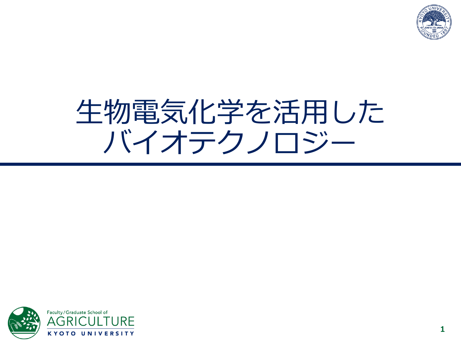

# 生物電気化学を活用した バイオテクノロジー

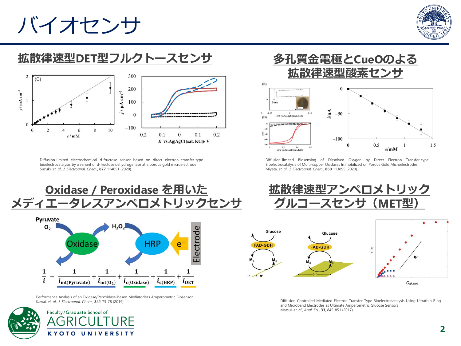## バイオセンサ



### **拡散律速型DET型フルクトースセンサ**



Diffusion-limited electrochemical d-fructose sensor based on direct electron transfer-type bioelectrocatalysis by a variant of d-fructose dehydrogenase at a porous gold microelectrode Suzuki, *et. al*., *J. Electroanal. Chem.*, **877** 114651 (2020).





Performance Analysis of an Oxidase/Peroxidase-based Mediatorless Amperometric Biosensor Kawai, *et. al*., *J. Electroanal. Chem.*, **841** 73-78 (2019).





Diffusion-limited Biosensing of Dissolved Oxygen by Direct Electron Transfer-type Bioelectrocatalysis of Multi-copper Oxidases Immobilized on Porous Gold Microelectrodes Miyata, *et. al*., *J. Electroanal. Chem.*, **860** 113895 (2020).





Diffusion-Controlled Mediated Electron Transfer-Type Bioelectrocatalysis Using Ultrathin-Ring and Microband Electrodes as Ultimate Amperometric Glucose Sensors Matsui, *et. al*., *Anal. Sci.,* **33**, 845-851 (2017).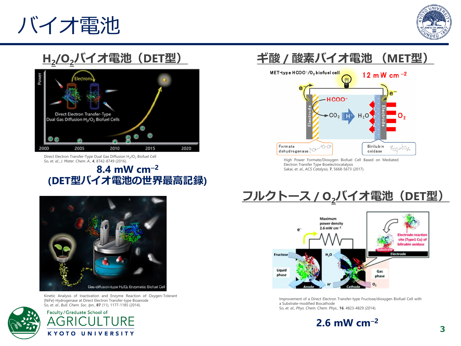# バイオ電池



### **H2 /O2バイオ電池(DET型)**



Direct Electron Transfer-Type Dual Gas Diffusion H<sub>2</sub>/O<sub>2</sub> Biofuel Cell So, *et. al*., *J. Mater. Chem. A.*, **4**, 8742-8749 (2016).

#### **8.4 mW cm**<sup>−</sup>**<sup>2</sup> (DET型バイオ電池の世界最高記録)**



Kinetic Analysis of Inactivation and Enzyme Reaction of Oxygen-Tolerant [NiFe]-Hydrogenase at Direct Electron Transfer-type Bioanode So, *et. al*., *Bull. Chem. Soc. Jpn.*, **87** (11), 1177-1185 (2014).



Faculty/Graduate School of **KYOTO UNIVERSITY** 

### **ギ酸 / 酸素バイオ電池 (MET型)**



High Power Formate/Dioxygen Biofuel Cell Based on Mediated Electron Transfer Type Bioelectrocatalysis Sakai, *et. al*., *ACS Catalysis,* **7**, 5668-5673 (2017).

### **フルクトース / O2バイオ電池(DET型)**



Improvement of a Direct Electron Transfer-type Fructose/dioxygen Biofuel Cell with a Substrate-modified Biocathode So, *et. al*., *Phys. Chem. Chem. Phys.*, **16**, 4823-4829 (2014).

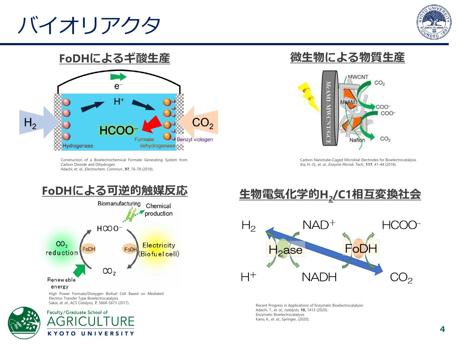# バイオリアクタ





Construction of a Bioelectrochemical Formate Generating System from Carbon Dioxide and Dihydrogen Adachi, *et. al*., *Electrochem. Commun.,* **97**, 76-78 (2018).

### **微生物による物質生産**



Carbon-Nanotube-Caged Microbial Electrodes for Bioelectrocatalysis Xia, H.-Q., *et. al*., *Enzyme Microb. Tech.,* **117**, 41-44 (2018).



High Power Formate/Dioxygen Biofuel Cell Based on Mediated Electron Transfer Type Bioelectrocatalysis Sakai, *et. al*., *ACS Catalysis,* **7**, 5668-5673 (2017).



Faculty/Graduate School of **KYOTO UNIVERSITY** 

### **生物電気化学的H<sup>2</sup> /C1相互変換社会**



Recent Progress in Applications of Enzymatic Bioelectrocatalysis Adachi, T., *et. al.*, *catalysts,* **10,** 1413 (2020). Enzymatic Bioelectrocatalysis Kano, K., *et. al.*, Springer, (2020).